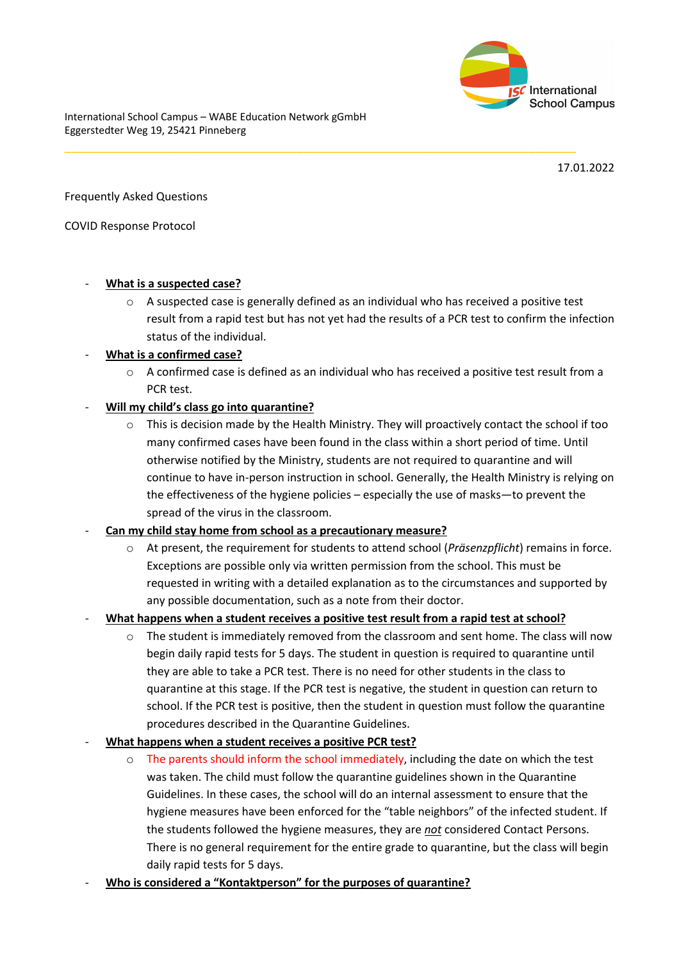

International School Campus – WABE Education Network gGmbH Eggerstedter Weg 19, 25421 Pinneberg

17.01.2022

Frequently Asked Questions

COVID Response Protocol

### - **What is a suspected case?**

 $\circ$  A suspected case is generally defined as an individual who has received a positive test result from a rapid test but has not yet had the results of a PCR test to confirm the infection status of the individual.

\_\_\_\_\_\_\_\_\_\_\_\_\_\_\_\_\_\_\_\_\_\_\_\_\_\_\_\_\_\_\_\_\_\_\_\_\_\_\_\_\_\_\_\_\_\_\_\_\_\_\_\_\_\_\_\_\_\_\_\_\_\_\_\_\_\_\_\_\_\_\_\_\_\_\_

## - **What is a confirmed case?**

 $\circ$  A confirmed case is defined as an individual who has received a positive test result from a PCR test.

## - **Will my child's class go into quarantine?**

- $\circ$  This is decision made by the Health Ministry. They will proactively contact the school if too many confirmed cases have been found in the class within a short period of time. Until otherwise notified by the Ministry, students are not required to quarantine and will continue to have in-person instruction in school. Generally, the Health Ministry is relying on the effectiveness of the hygiene policies – especially the use of masks—to prevent the spread of the virus in the classroom.
- **Can my child stay home from school as a precautionary measure?** 
	- o At present, the requirement for students to attend school (*Präsenzpflicht*) remains in force. Exceptions are possible only via written permission from the school. This must be requested in writing with a detailed explanation as to the circumstances and supported by any possible documentation, such as a note from their doctor.

## - **What happens when a student receives a positive test result from a rapid test at school?**

- $\circ$  The student is immediately removed from the classroom and sent home. The class will now begin daily rapid tests for 5 days. The student in question is required to quarantine until they are able to take a PCR test. There is no need for other students in the class to quarantine at this stage. If the PCR test is negative, the student in question can return to school. If the PCR test is positive, then the student in question must follow the quarantine procedures described in the Quarantine Guidelines.
- **What happens when a student receives a positive PCR test?** 
	- o The parents should inform the school immediately, including the date on which the test was taken. The child must follow the quarantine guidelines shown in the Quarantine Guidelines. In these cases, the school will do an internal assessment to ensure that the hygiene measures have been enforced for the "table neighbors" of the infected student. If the students followed the hygiene measures, they are *not* considered Contact Persons. There is no general requirement for the entire grade to quarantine, but the class will begin daily rapid tests for 5 days.
- **Who is considered a "Kontaktperson" for the purposes of quarantine?**